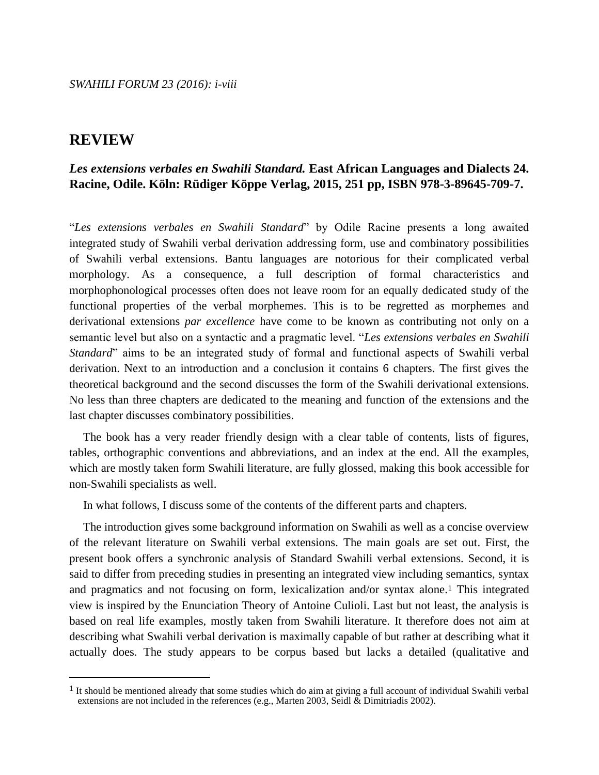# *Les extensions verbales en Swahili Standard.* **East African Languages and Dialects 24. Racine, Odile. Köln: Rüdiger Köppe Verlag, 2015, 251 pp, ISBN 978-3-89645-709-7.**

"*Les extensions verbales en Swahili Standard*" by Odile Racine presents a long awaited integrated study of Swahili verbal derivation addressing form, use and combinatory possibilities of Swahili verbal extensions. Bantu languages are notorious for their complicated verbal morphology. As a consequence, a full description of formal characteristics and morphophonological processes often does not leave room for an equally dedicated study of the functional properties of the verbal morphemes. This is to be regretted as morphemes and derivational extensions *par excellence* have come to be known as contributing not only on a semantic level but also on a syntactic and a pragmatic level. "*Les extensions verbales en Swahili Standard*" aims to be an integrated study of formal and functional aspects of Swahili verbal derivation. Next to an introduction and a conclusion it contains 6 chapters. The first gives the theoretical background and the second discusses the form of the Swahili derivational extensions. No less than three chapters are dedicated to the meaning and function of the extensions and the last chapter discusses combinatory possibilities.

The book has a very reader friendly design with a clear table of contents, lists of figures, tables, orthographic conventions and abbreviations, and an index at the end. All the examples, which are mostly taken form Swahili literature, are fully glossed, making this book accessible for non-Swahili specialists as well.

In what follows, I discuss some of the contents of the different parts and chapters.

The introduction gives some background information on Swahili as well as a concise overview of the relevant literature on Swahili verbal extensions. The main goals are set out. First, the present book offers a synchronic analysis of Standard Swahili verbal extensions. Second, it is said to differ from preceding studies in presenting an integrated view including semantics, syntax and pragmatics and not focusing on form, lexicalization and/or syntax alone.<sup>1</sup> This integrated view is inspired by the Enunciation Theory of Antoine Culioli. Last but not least, the analysis is based on real life examples, mostly taken from Swahili literature. It therefore does not aim at describing what Swahili verbal derivation is maximally capable of but rather at describing what it actually does. The study appears to be corpus based but lacks a detailed (qualitative and

<sup>&</sup>lt;sup>1</sup> It should be mentioned already that some studies which do aim at giving a full account of individual Swahili verbal extensions are not included in the references (e.g., Marten 2003, Seidl & Dimitriadis 2002).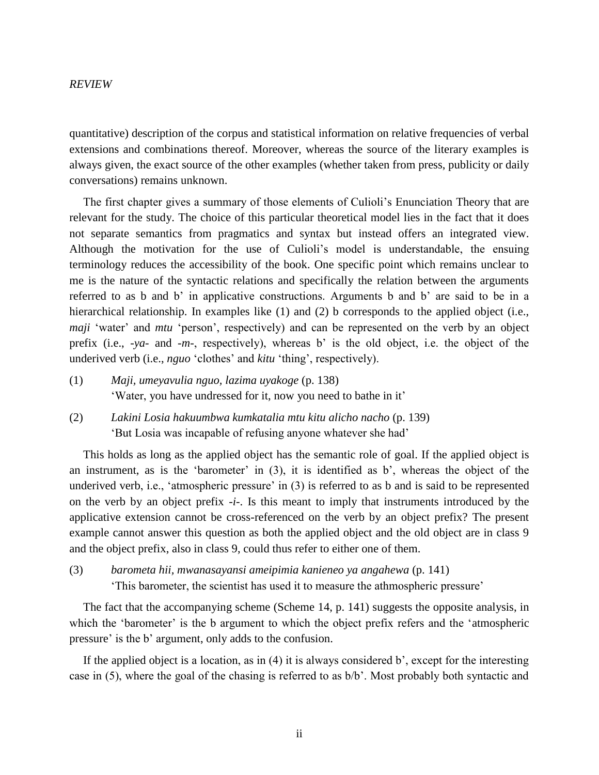quantitative) description of the corpus and statistical information on relative frequencies of verbal extensions and combinations thereof. Moreover, whereas the source of the literary examples is always given, the exact source of the other examples (whether taken from press, publicity or daily conversations) remains unknown.

The first chapter gives a summary of those elements of Culioli's Enunciation Theory that are relevant for the study. The choice of this particular theoretical model lies in the fact that it does not separate semantics from pragmatics and syntax but instead offers an integrated view. Although the motivation for the use of Culioli's model is understandable, the ensuing terminology reduces the accessibility of the book. One specific point which remains unclear to me is the nature of the syntactic relations and specifically the relation between the arguments referred to as b and b' in applicative constructions. Arguments b and b' are said to be in a hierarchical relationship. In examples like (1) and (2) b corresponds to the applied object (i.e., *maji* 'water' and *mtu* 'person', respectively) and can be represented on the verb by an object prefix (i.e., *-ya-* and -*m*-, respectively), whereas b' is the old object, i.e. the object of the underived verb (i.e., *nguo* 'clothes' and *kitu* 'thing', respectively).

- (1) *Maji, umeyavulia nguo, lazima uyakoge* (p. 138) 'Water, you have undressed for it, now you need to bathe in it'
- (2) *Lakini Losia hakuumbwa kumkatalia mtu kitu alicho nacho* (p. 139) 'But Losia was incapable of refusing anyone whatever she had'

This holds as long as the applied object has the semantic role of goal. If the applied object is an instrument, as is the 'barometer' in (3), it is identified as b', whereas the object of the underived verb, i.e., 'atmospheric pressure' in (3) is referred to as b and is said to be represented on the verb by an object prefix -*i*-. Is this meant to imply that instruments introduced by the applicative extension cannot be cross-referenced on the verb by an object prefix? The present example cannot answer this question as both the applied object and the old object are in class 9 and the object prefix, also in class 9, could thus refer to either one of them.

(3) *barometa hii, mwanasayansi ameipimia kanieneo ya angahewa* (p. 141) 'This barometer, the scientist has used it to measure the athmospheric pressure'

The fact that the accompanying scheme (Scheme 14, p. 141) suggests the opposite analysis, in which the 'barometer' is the b argument to which the object prefix refers and the 'atmospheric pressure' is the b' argument, only adds to the confusion.

If the applied object is a location, as in (4) it is always considered b', except for the interesting case in (5), where the goal of the chasing is referred to as b/b'. Most probably both syntactic and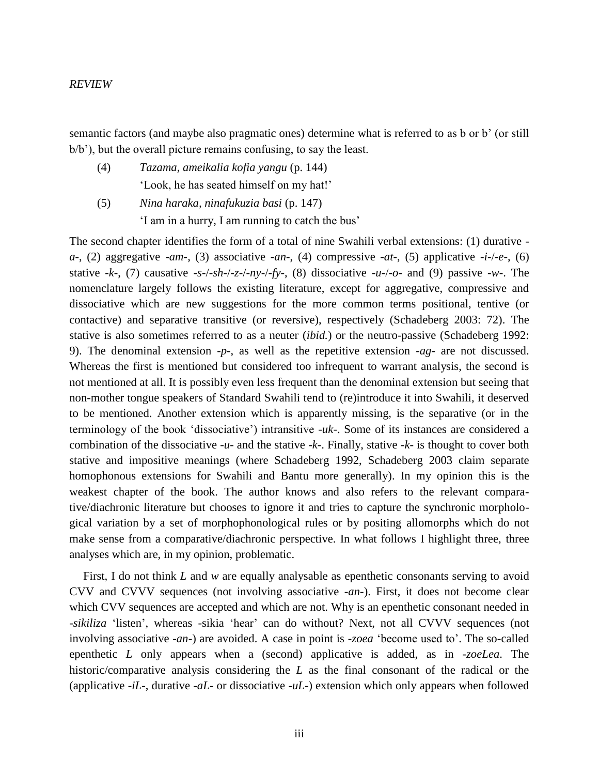semantic factors (and maybe also pragmatic ones) determine what is referred to as b or b' (or still b/b'), but the overall picture remains confusing, to say the least.

- (4) *Tazama, ameikalia kofia yangu* (p. 144) 'Look, he has seated himself on my hat!'
- (5) *Nina haraka, ninafukuzia basi* (p. 147) 'I am in a hurry, I am running to catch the bus'

The second chapter identifies the form of a total of nine Swahili verbal extensions: (1) durative *a*-, (2) aggregative -*am*-, (3) associative -*an*-, (4) compressive -*at*-, (5) applicative -*i*-/-*e*-, (6) stative  $-k$ -, (7) causative  $-s$ -/- $sh$ -/- $z$ -/- $ny$ -/- $fy$ -, (8) dissociative  $-u$ -/- $o$ - and (9) passive  $-w$ -. The nomenclature largely follows the existing literature, except for aggregative, compressive and dissociative which are new suggestions for the more common terms positional, tentive (or contactive) and separative transitive (or reversive), respectively (Schadeberg 2003: 72). The stative is also sometimes referred to as a neuter (*ibid.*) or the neutro-passive (Schadeberg 1992: 9). The denominal extension -*p*-, as well as the repetitive extension -*ag*- are not discussed. Whereas the first is mentioned but considered too infrequent to warrant analysis, the second is not mentioned at all. It is possibly even less frequent than the denominal extension but seeing that non-mother tongue speakers of Standard Swahili tend to (re)introduce it into Swahili, it deserved to be mentioned. Another extension which is apparently missing, is the separative (or in the terminology of the book 'dissociative') intransitive -*uk*-. Some of its instances are considered a combination of the dissociative -*u*- and the stative -*k*-. Finally, stative -*k*- is thought to cover both stative and impositive meanings (where Schadeberg 1992, Schadeberg 2003 claim separate homophonous extensions for Swahili and Bantu more generally). In my opinion this is the weakest chapter of the book. The author knows and also refers to the relevant comparative/diachronic literature but chooses to ignore it and tries to capture the synchronic morphological variation by a set of morphophonological rules or by positing allomorphs which do not make sense from a comparative/diachronic perspective. In what follows I highlight three, three analyses which are, in my opinion, problematic.

First, I do not think *L* and *w* are equally analysable as epenthetic consonants serving to avoid CVV and CVVV sequences (not involving associative -*an*-). First, it does not become clear which CVV sequences are accepted and which are not. Why is an epenthetic consonant needed in *-sikiliza* 'listen', whereas -sikia 'hear' can do without? Next, not all CVVV sequences (not involving associative -*an*-) are avoided. A case in point is -*zoea* 'become used to'. The so-called epenthetic *L* only appears when a (second) applicative is added, as in -*zoeLea*. The historic/comparative analysis considering the *L* as the final consonant of the radical or the (applicative -*iL*-, durative -*aL*- or dissociative -*uL*-) extension which only appears when followed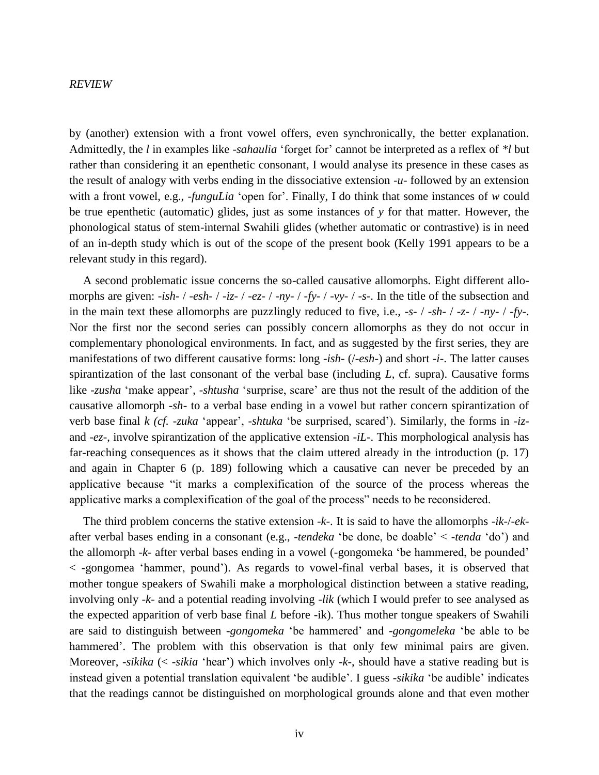by (another) extension with a front vowel offers, even synchronically, the better explanation. Admittedly, the *l* in examples like -*sahaulia* 'forget for' cannot be interpreted as a reflex of *\*l* but rather than considering it an epenthetic consonant, I would analyse its presence in these cases as the result of analogy with verbs ending in the dissociative extension -*u*- followed by an extension with a front vowel, e.g., -*funguLia* 'open for'. Finally, I do think that some instances of *w* could be true epenthetic (automatic) glides, just as some instances of *y* for that matter. However, the phonological status of stem-internal Swahili glides (whether automatic or contrastive) is in need of an in-depth study which is out of the scope of the present book (Kelly 1991 appears to be a relevant study in this regard).

A second problematic issue concerns the so-called causative allomorphs. Eight different allomorphs are given: -*ish*- / -*esh*- / -*iz*- / -*ez*- / -*ny*- / -*fy*- / -*vy*- / -*s*-. In the title of the subsection and in the main text these allomorphs are puzzlingly reduced to five, i.e., -*s*- / -*sh*- / -*z*- / -*ny*- / -*fy*-. Nor the first nor the second series can possibly concern allomorphs as they do not occur in complementary phonological environments. In fact, and as suggested by the first series, they are manifestations of two different causative forms: long -*ish*- (/-*esh*-) and short -*i*-. The latter causes spirantization of the last consonant of the verbal base (including *L*, cf. supra). Causative forms like -*zusha* 'make appear', -*shtusha* 'surprise, scare' are thus not the result of the addition of the causative allomorph -*sh*- to a verbal base ending in a vowel but rather concern spirantization of verb base final *k (cf. -zuka* 'appear', -*shtuka* 'be surprised, scared'). Similarly, the forms in -*iz*and -*ez*-, involve spirantization of the applicative extension -*iL*-. This morphological analysis has far-reaching consequences as it shows that the claim uttered already in the introduction (p. 17) and again in Chapter 6 (p. 189) following which a causative can never be preceded by an applicative because "it marks a complexification of the source of the process whereas the applicative marks a complexification of the goal of the process" needs to be reconsidered.

The third problem concerns the stative extension -*k*-. It is said to have the allomorphs -*ik*-/-*ek*after verbal bases ending in a consonant (e.g., -*tendeka* 'be done, be doable' < -*tenda* 'do') and the allomorph -*k*- after verbal bases ending in a vowel (-gongomeka 'be hammered, be pounded' < -gongomea 'hammer, pound'). As regards to vowel-final verbal bases, it is observed that mother tongue speakers of Swahili make a morphological distinction between a stative reading, involving only -*k*- and a potential reading involving -*lik* (which I would prefer to see analysed as the expected apparition of verb base final *L* before -ik). Thus mother tongue speakers of Swahili are said to distinguish between -*gongomeka* 'be hammered' and -*gongomeleka* 'be able to be hammered'. The problem with this observation is that only few minimal pairs are given. Moreover, -*sikika* (< -*sikia* 'hear') which involves only -*k*-, should have a stative reading but is instead given a potential translation equivalent 'be audible'. I guess -*sikika* 'be audible' indicates that the readings cannot be distinguished on morphological grounds alone and that even mother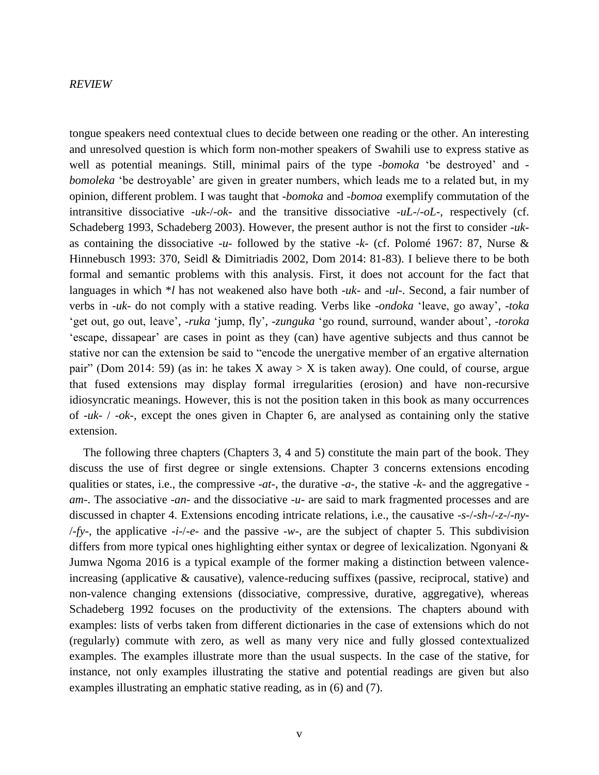tongue speakers need contextual clues to decide between one reading or the other. An interesting and unresolved question is which form non-mother speakers of Swahili use to express stative as well as potential meanings. Still, minimal pairs of the type -*bomoka* 'be destroyed' and *bomoleka* 'be destroyable' are given in greater numbers, which leads me to a related but, in my opinion, different problem. I was taught that -*bomoka* and -*bomoa* exemplify commutation of the intransitive dissociative -*uk*-/-*ok*- and the transitive dissociative -*uL*-/-*oL*-, respectively (cf. Schadeberg 1993, Schadeberg 2003). However, the present author is not the first to consider -*uk*as containing the dissociative -*u*- followed by the stative -*k*- (cf. Polomé 1967: 87, Nurse & Hinnebusch 1993: 370, Seidl & Dimitriadis 2002, Dom 2014: 81-83). I believe there to be both formal and semantic problems with this analysis. First, it does not account for the fact that languages in which \**l* has not weakened also have both -*uk*- and -*ul*-. Second, a fair number of verbs in -*uk*- do not comply with a stative reading. Verbs like -*ondoka* 'leave, go away', -*toka* 'get out, go out, leave', -*ruka* 'jump, fly', -*zunguka* 'go round, surround, wander about', -*toroka* 'escape, dissapear' are cases in point as they (can) have agentive subjects and thus cannot be stative nor can the extension be said to "encode the unergative member of an ergative alternation pair" (Dom 2014: 59) (as in: he takes X away > X is taken away). One could, of course, argue that fused extensions may display formal irregularities (erosion) and have non-recursive idiosyncratic meanings. However, this is not the position taken in this book as many occurrences of -*uk*- / -*ok*-, except the ones given in Chapter 6, are analysed as containing only the stative extension.

The following three chapters (Chapters 3, 4 and 5) constitute the main part of the book. They discuss the use of first degree or single extensions. Chapter 3 concerns extensions encoding qualities or states, i.e., the compressive -*at-*, the durative *-a-*, the stative -*k-* and the aggregative *am-*. The associative -*an-* and the dissociative -*u-* are said to mark fragmented processes and are discussed in chapter 4. Extensions encoding intricate relations, i.e., the causative -*s*-/-*sh*-/-*z*-/-*ny*- /-*fy*-, the applicative -*i-*/-*e*- and the passive -*w*-, are the subject of chapter 5. This subdivision differs from more typical ones highlighting either syntax or degree of lexicalization. Ngonyani & Jumwa Ngoma 2016 is a typical example of the former making a distinction between valenceincreasing (applicative  $\&$  causative), valence-reducing suffixes (passive, reciprocal, stative) and non-valence changing extensions (dissociative, compressive, durative, aggregative), whereas Schadeberg 1992 focuses on the productivity of the extensions. The chapters abound with examples: lists of verbs taken from different dictionaries in the case of extensions which do not (regularly) commute with zero, as well as many very nice and fully glossed contextualized examples. The examples illustrate more than the usual suspects. In the case of the stative, for instance, not only examples illustrating the stative and potential readings are given but also examples illustrating an emphatic stative reading, as in (6) and (7).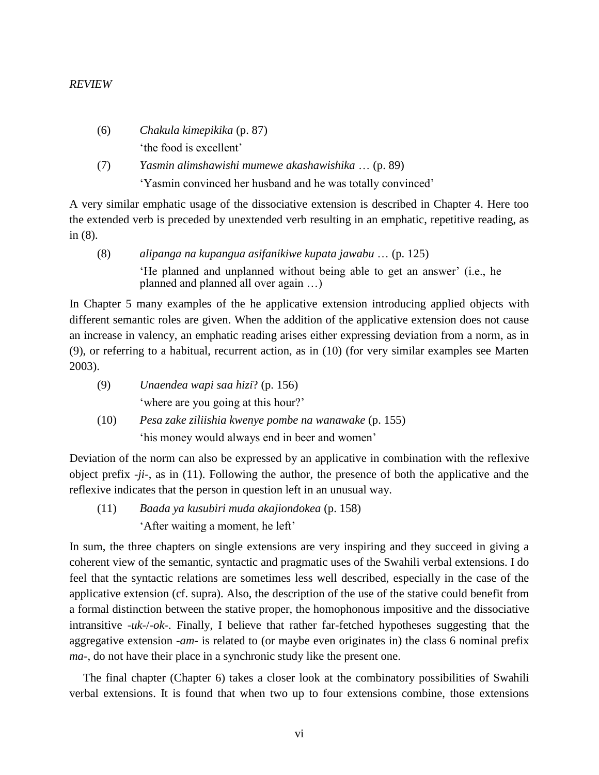- (6) *Chakula kimepikika* (p. 87) 'the food is excellent'
- (7) *Yasmin alimshawishi mumewe akashawishika* … (p. 89) 'Yasmin convinced her husband and he was totally convinced'

A very similar emphatic usage of the dissociative extension is described in Chapter 4. Here too the extended verb is preceded by unextended verb resulting in an emphatic, repetitive reading, as in (8).

(8) *alipanga na kupangua asifanikiwe kupata jawabu* … (p. 125) 'He planned and unplanned without being able to get an answer' (i.e., he planned and planned all over again …)

In Chapter 5 many examples of the he applicative extension introducing applied objects with different semantic roles are given. When the addition of the applicative extension does not cause an increase in valency, an emphatic reading arises either expressing deviation from a norm, as in (9), or referring to a habitual, recurrent action, as in (10) (for very similar examples see Marten 2003).

| (9) | Unaendea wapi saa hizi? (p. 156)    |
|-----|-------------------------------------|
|     | 'where are you going at this hour?' |

(10) *Pesa zake ziliishia kwenye pombe na wanawake* (p. 155) 'his money would always end in beer and women'

Deviation of the norm can also be expressed by an applicative in combination with the reflexive object prefix *-ji-*, as in (11). Following the author, the presence of both the applicative and the reflexive indicates that the person in question left in an unusual way.

(11) *Baada ya kusubiri muda akajiondokea* (p. 158) 'After waiting a moment, he left'

In sum, the three chapters on single extensions are very inspiring and they succeed in giving a coherent view of the semantic, syntactic and pragmatic uses of the Swahili verbal extensions. I do feel that the syntactic relations are sometimes less well described, especially in the case of the applicative extension (cf. supra). Also, the description of the use of the stative could benefit from a formal distinction between the stative proper, the homophonous impositive and the dissociative intransitive -*uk*-/-*ok*-. Finally, I believe that rather far-fetched hypotheses suggesting that the aggregative extension -*am*- is related to (or maybe even originates in) the class 6 nominal prefix *ma*-, do not have their place in a synchronic study like the present one.

The final chapter (Chapter 6) takes a closer look at the combinatory possibilities of Swahili verbal extensions. It is found that when two up to four extensions combine, those extensions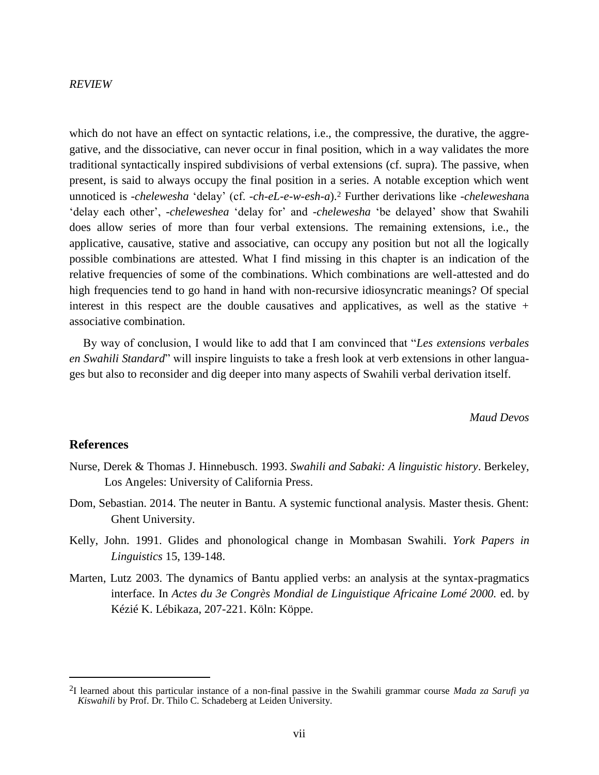which do not have an effect on syntactic relations, i.e., the compressive, the durative, the aggregative, and the dissociative, can never occur in final position, which in a way validates the more traditional syntactically inspired subdivisions of verbal extensions (cf. supra). The passive, when present, is said to always occupy the final position in a series. A notable exception which went unnoticed is -*chelewesha* 'delay' (cf. -*ch-eL-e-w-esh-a*).<sup>2</sup> Further derivations like -*cheleweshan*a 'delay each other', -*cheleweshea* 'delay for' and -*chelewesha* 'be delayed' show that Swahili does allow series of more than four verbal extensions. The remaining extensions, i.e., the applicative, causative, stative and associative, can occupy any position but not all the logically possible combinations are attested. What I find missing in this chapter is an indication of the relative frequencies of some of the combinations. Which combinations are well-attested and do high frequencies tend to go hand in hand with non-recursive idiosyncratic meanings? Of special interest in this respect are the double causatives and applicatives, as well as the stative  $+$ associative combination.

By way of conclusion, I would like to add that I am convinced that "*Les extensions verbales en Swahili Standard*" will inspire linguists to take a fresh look at verb extensions in other languages but also to reconsider and dig deeper into many aspects of Swahili verbal derivation itself.

*Maud Devos*

### **References**

- Nurse, Derek & Thomas J. Hinnebusch. 1993. *Swahili and Sabaki: A linguistic history*. Berkeley, Los Angeles: University of California Press.
- Dom, Sebastian. 2014. The neuter in Bantu. A systemic functional analysis. Master thesis. Ghent: Ghent University.
- Kelly, John. 1991. Glides and phonological change in Mombasan Swahili. *York Papers in Linguistics* 15, 139-148.
- Marten, Lutz 2003. The dynamics of Bantu applied verbs: an analysis at the syntax-pragmatics interface. In *Actes du 3e Congrès Mondial de Linguistique Africaine Lomé 2000.* ed. by Kézié K. Lébikaza, 207-221. Köln: Köppe.

<sup>2</sup>I learned about this particular instance of a non-final passive in the Swahili grammar course *Mada za Sarufi ya Kiswahili* by Prof. Dr. Thilo C. Schadeberg at Leiden University.